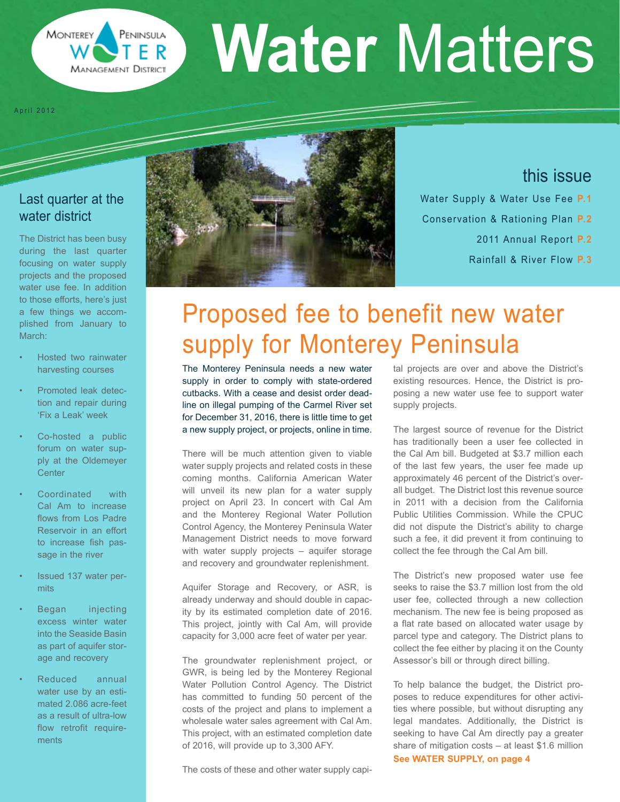

# **Water** Matters

April 2012

# Last quarter at the water district

The District has been busy during the last quarter focusing on water supply projects and the proposed water use fee. In addition to those efforts, here's just a few things we accomplished from January to March:

- Hosted two rainwater harvesting courses
- Promoted leak detection and repair during 'Fix a Leak' week
- Co-hosted a public forum on water supply at the Oldemeyer **Center**
- Coordinated with Cal Am to increase flows from Los Padre Reservoir in an effort to increase fish passage in the river
- Issued 137 water permits
- Began injecting excess winter water into the Seaside Basin as part of aquifer storage and recovery
- Reduced annual water use by an estimated 2.086 acre-feet as a result of ultra-low flow retrofit requirements



# this issue

Water Supply & Water Use Fee **P.1** Conservation & Rationing Plan **P.2** 2011 Annual Report **P.2** Rainfall & River Flow **P.3**

# Proposed fee to benefit new water supply for Monterey Peninsula

The Monterey Peninsula needs a new water supply in order to comply with state-ordered cutbacks. With a cease and desist order deadline on illegal pumping of the Carmel River set for December 31, 2016, there is little time to get a new supply project, or projects, online in time.

There will be much attention given to viable water supply projects and related costs in these coming months. California American Water will unveil its new plan for a water supply project on April 23. In concert with Cal Am and the Monterey Regional Water Pollution Control Agency, the Monterey Peninsula Water Management District needs to move forward with water supply projects – aquifer storage and recovery and groundwater replenishment.

Aquifer Storage and Recovery, or ASR, is already underway and should double in capacity by its estimated completion date of 2016. This project, jointly with Cal Am, will provide capacity for 3,000 acre feet of water per year.

The groundwater replenishment project, or GWR, is being led by the Monterey Regional Water Pollution Control Agency. The District has committed to funding 50 percent of the costs of the project and plans to implement a wholesale water sales agreement with Cal Am. This project, with an estimated completion date of 2016, will provide up to 3,300 AFY.

The costs of these and other water supply capi-

tal projects are over and above the District's existing resources. Hence, the District is proposing a new water use fee to support water supply projects.

The largest source of revenue for the District has traditionally been a user fee collected in the Cal Am bill. Budgeted at \$3.7 million each of the last few years, the user fee made up approximately 46 percent of the District's overall budget. The District lost this revenue source in 2011 with a decision from the California Public Utilities Commission. While the CPUC did not dispute the District's ability to charge such a fee, it did prevent it from continuing to collect the fee through the Cal Am bill.

The District's new proposed water use fee seeks to raise the \$3.7 million lost from the old user fee, collected through a new collection mechanism. The new fee is being proposed as a flat rate based on allocated water usage by parcel type and category. The District plans to collect the fee either by placing it on the County Assessor's bill or through direct billing.

To help balance the budget, the District proposes to reduce expenditures for other activities where possible, but without disrupting any legal mandates. Additionally, the District is seeking to have Cal Am directly pay a greater share of mitigation costs – at least \$1.6 million **See WATER SUPPLY, on page 4**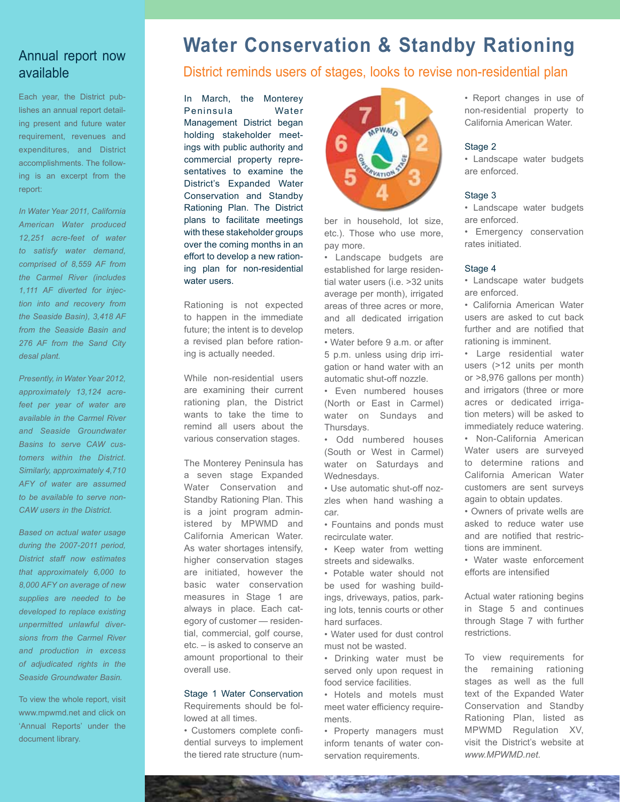#### Annual report now available

Each year, the District publishes an annual report detailing present and future water requirement, revenues and expenditures, and District accomplishments. The following is an excerpt from the report:

*In Water Year 2011, California American Water produced 12,251 acre-feet of water to satisfy water demand, comprised of 8,559 AF from the Carmel River (includes 1,111 AF diverted for injection into and recovery from the Seaside Basin), 3,418 AF from the Seaside Basin and 276 AF from the Sand City desal plant.* 

*Presently, in Water Year 2012, approximately 13,124 acrefeet per year of water are available in the Carmel River and Seaside Groundwater Basins to serve CAW customers within the District. Similarly, approximately 4,710 AFY of water are assumed to be available to serve non-CAW users in the District.* 

*Based on actual water usage during the 2007-2011 period, District staff now estimates that approximately 6,000 to 8,000 AFY on average of new supplies are needed to be developed to replace existing unpermitted unlawful diversions from the Carmel River and production in excess of adjudicated rights in the Seaside Groundwater Basin.*

To view the whole report, visit www.mpwmd.net and click on 'Annual Reports' under the document library.

# **Water Conservation & Standby Rationing**

#### District reminds users of stages, looks to revise non-residential plan

In March, the Monterey Peninsula Water Management District began holding stakeholder meetings with public authority and commercial property representatives to examine the District's Expanded Water Conservation and Standby Rationing Plan. The District plans to facilitate meetings with these stakeholder groups over the coming months in an effort to develop a new rationing plan for non-residential water users.

Rationing is not expected to happen in the immediate future; the intent is to develop a revised plan before rationing is actually needed.

While non-residential users are examining their current rationing plan, the District wants to take the time to remind all users about the various conservation stages.

The Monterey Peninsula has a seven stage Expanded Water Conservation and Standby Rationing Plan. This is a joint program administered by MPWMD and California American Water. As water shortages intensify, higher conservation stages are initiated, however the basic water conservation measures in Stage 1 are always in place. Each category of customer — residential, commercial, golf course, etc. – is asked to conserve an amount proportional to their overall use.

#### Stage 1 Water Conservation

Requirements should be followed at all times.

• Customers complete confidential surveys to implement the tiered rate structure (num-



ber in household, lot size, etc.). Those who use more, pay more.

• Landscape budgets are established for large residential water users (i.e. >32 units average per month), irrigated areas of three acres or more, and all dedicated irrigation meters.

• Water before 9 a.m. or after 5 p.m. unless using drip irrigation or hand water with an automatic shut-off nozzle.

• Even numbered houses (North or East in Carmel) water on Sundays and Thursdays.

• Odd numbered houses (South or West in Carmel) water on Saturdays and Wednesdays.

• Use automatic shut-off nozzles when hand washing a car.

• Fountains and ponds must recirculate water.

• Keep water from wetting streets and sidewalks.

• Potable water should not be used for washing buildings, driveways, patios, parking lots, tennis courts or other hard surfaces.

• Water used for dust control must not be wasted.

• Drinking water must be served only upon request in food service facilities.

• Hotels and motels must meet water efficiency requirements.

• Property managers must inform tenants of water conservation requirements.

• Report changes in use of non-residential property to California American Water.

#### Stage 2

• Landscape water budgets are enforced.

#### Stage 3

• Landscape water budgets are enforced.

• Emergency conservation rates initiated.

#### Stage 4

• Landscape water budgets are enforced.

• California American Water users are asked to cut back further and are notified that rationing is imminent.

• Large residential water users (>12 units per month or >8,976 gallons per month) and irrigators (three or more acres or dedicated irrigation meters) will be asked to immediately reduce watering.

• Non-California American Water users are surveyed to determine rations and California American Water customers are sent surveys again to obtain updates.

• Owners of private wells are asked to reduce water use and are notified that restrictions are imminent.

• Water waste enforcement efforts are intensified

Actual water rationing begins in Stage 5 and continues through Stage 7 with further restrictions.

To view requirements for the remaining rationing stages as well as the full text of the Expanded Water Conservation and Standby Rationing Plan, listed as MPWMD Regulation XV, visit the District's website at *www.MPWMD.net.*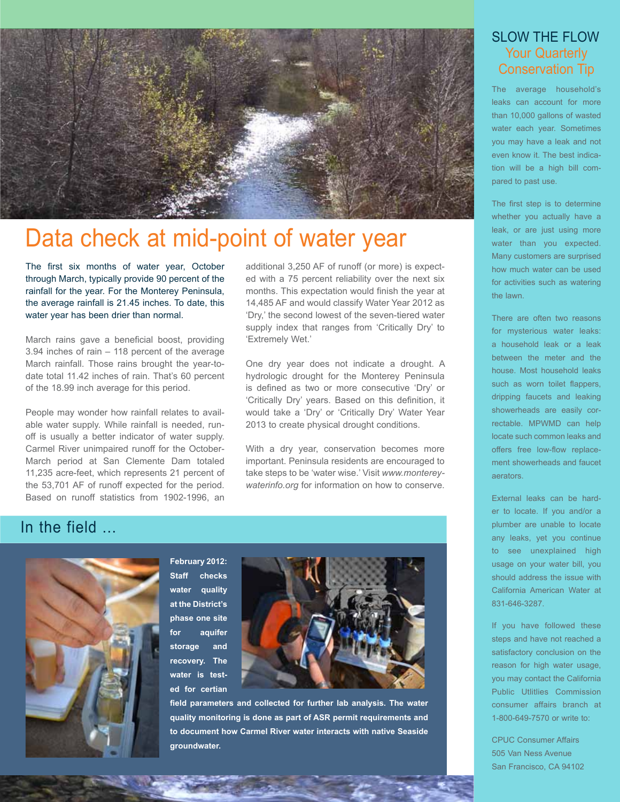

# Data check at mid-point of water year

The first six months of water year, October through March, typically provide 90 percent of the rainfall for the year. For the Monterey Peninsula, the average rainfall is 21.45 inches. To date, this water year has been drier than normal.

March rains gave a beneficial boost, providing 3.94 inches of rain – 118 percent of the average March rainfall. Those rains brought the year-todate total 11.42 inches of rain. That's 60 percent of the 18.99 inch average for this period.

People may wonder how rainfall relates to available water supply. While rainfall is needed, runoff is usually a better indicator of water supply. Carmel River unimpaired runoff for the October-March period at San Clemente Dam totaled 11,235 acre-feet, which represents 21 percent of the 53,701 AF of runoff expected for the period. Based on runoff statistics from 1902-1996, an additional 3,250 AF of runoff (or more) is expected with a 75 percent reliability over the next six months. This expectation would finish the year at 14,485 AF and would classify Water Year 2012 as 'Dry,' the second lowest of the seven-tiered water supply index that ranges from 'Critically Dry' to 'Extremely Wet.'

One dry year does not indicate a drought. A hydrologic drought for the Monterey Peninsula is defined as two or more consecutive 'Dry' or 'Critically Dry' years. Based on this definition, it would take a 'Dry' or 'Critically Dry' Water Year 2013 to create physical drought conditions.

With a dry year, conservation becomes more important. Peninsula residents are encouraged to take steps to be 'water wise.' Visit *www.montereywaterinfo.org* for information on how to conserve.

# In the field



**February 2012: Staff checks water quality at the District's phase one site for aquifer storage and recovery. The water is tested for certian** 



**field parameters and collected for further lab analysis. The water quality monitoring is done as part of ASR permit requirements and to document how Carmel River water interacts with native Seaside groundwater.** 

#### SLOW THE FLOW Your Quarterly Conservation Tip

The average household's leaks can account for more than 10,000 gallons of wasted water each year. Sometimes you may have a leak and not even know it. The best indication will be a high bill compared to past use.

The first step is to determine whether you actually have a leak, or are just using more water than you expected. Many customers are surprised how much water can be used for activities such as watering the lawn.

There are often two reasons for mysterious water leaks: a household leak or a leak between the meter and the house. Most household leaks such as worn toilet flappers, dripping faucets and leaking showerheads are easily correctable. MPWMD can help locate such common leaks and offers free low-flow replacement showerheads and faucet aerators.

External leaks can be harder to locate. If you and/or a plumber are unable to locate any leaks, yet you continue to see unexplained high usage on your water bill, you should address the issue with California American Water at 831-646-3287.

If you have followed these steps and have not reached a satisfactory conclusion on the reason for high water usage, you may contact the California Public Utlitlies Commission consumer affairs branch at 1-800-649-7570 or write to:

CPUC Consumer Affairs 505 Van Ness Avenue San Francisco, CA 94102